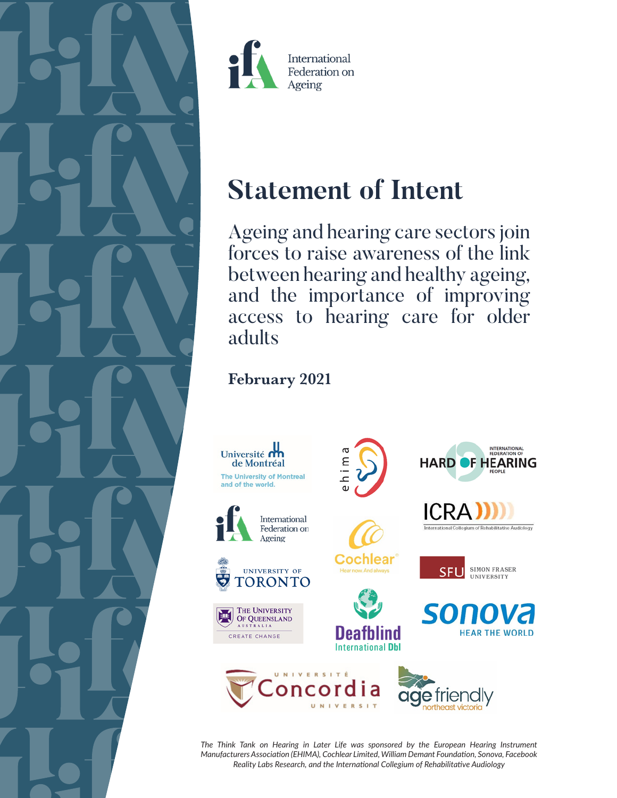



# **Statement of Intent**

Ageing and hearing care sectors join forces to raise awareness of the link between hearing and healthy ageing, and the importance of improving access to hearing care for older adults

## February 2021



*The Think Tank on Hearing in Later Life was sponsored by the European Hearing Instrument Manufacturers Association (EHIMA), Cochlear Limited, William Demant Foundation, Sonova, Facebook Reality Labs Research, and the International Collegium of Rehabilitative Audiology*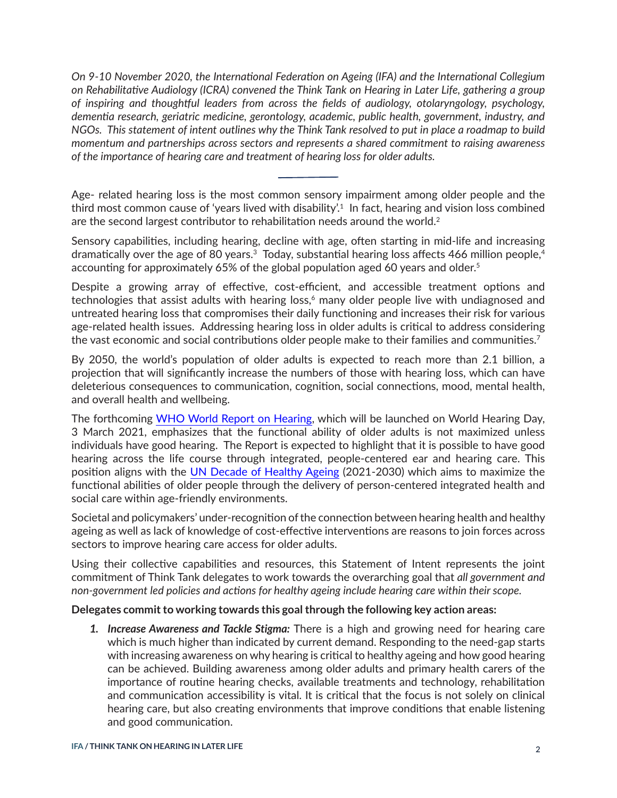<span id="page-1-0"></span>*On 9-10 November 2020, the International Federation on Ageing (IFA) and the International Collegium on Rehabilitative Audiology (ICRA) convened the Think Tank on Hearing in Later Life, gathering a group of inspiring and thoughtful leaders from across the fields of audiology, otolaryngology, psychology, dementia research, geriatric medicine, gerontology, academic, public health, government, industry, and NGOs. This statement of intent outlines why the Think Tank resolved to put in place a roadmap to build momentum and partnerships across sectors and represents a shared commitment to raising awareness of the importance of hearing care and treatment of hearing loss for older adults.*

Age- related hearing loss is the most common sensory impairment among older people and the third most common cause of 'years lived with disability'.<sup>1</sup> In fact, hearing and vision loss combined are the second largest contributor to rehabilitation needs around the world. $2$ 

Sensory capabilities, including hearing, decline with age, often starting in mid-life and increasing dramatically over the age of 80 years.<sup>[3](#page-5-0)</sup> Today, substantial hearing loss affects 466 million people,<sup>4</sup> accounting for approximately 6[5](#page-5-0)% of the global population aged 60 years and older.<sup>5</sup>

Despite a growing array of effective, cost-efficient, and accessible treatment options and technologies that assist adults with hearing loss, $6$  many older people live with undiagnosed and untreated hearing loss that compromises their daily functioning and increases their risk for various age-related health issues. Addressing hearing loss in older adults is critical to address considering the vast economic and social contributions older people make to their families and communities.<sup>[7](#page-5-0)</sup>

By 2050, the world's population of older adults is expected to reach more than 2.1 billion, a projection that will significantly increase the numbers of those with hearing loss, which can have deleterious consequences to communication, cognition, social connections, mood, mental health, and overall health and wellbeing.

The forthcoming [WHO World Report on Hearing,](https://www.who.int/deafness/world-report-hearing/en/) which will be launched on World Hearing Day, 3 March 2021, emphasizes that the functional ability of older adults is not maximized unless individuals have good hearing. The Report is expected to highlight that it is possible to have good hearing across the life course through integrated, people-centered ear and hearing care. This position aligns with the [UN Decade of Healthy Ageing](https://www.who.int/ageing/decade-of-healthy-ageing) (2021-2030) which aims to maximize the functional abilities of older people through the delivery of person-centered integrated health and social care within age-friendly environments.

Societal and policymakers' under-recognition of the connection between hearing health and healthy ageing as well as lack of knowledge of cost-effective interventions are reasons to join forces across sectors to improve hearing care access for older adults.

Using their collective capabilities and resources, this Statement of Intent represents the joint commitment of Think Tank delegates to work towards the overarching goal that *all government and non-government led policies and actions for healthy ageing include hearing care within their scope.* 

#### **Delegates commit to working towards this goal through the following key action areas:**

*1. Increase Awareness and Tackle Stigma:* There is a high and growing need for hearing care which is much higher than indicated by current demand. Responding to the need-gap starts with increasing awareness on why hearing is critical to healthy ageing and how good hearing can be achieved. Building awareness among older adults and primary health carers of the importance of routine hearing checks, available treatments and technology, rehabilitation and communication accessibility is vital. It is critical that the focus is not solely on clinical hearing care, but also creating environments that improve conditions that enable listening and good communication.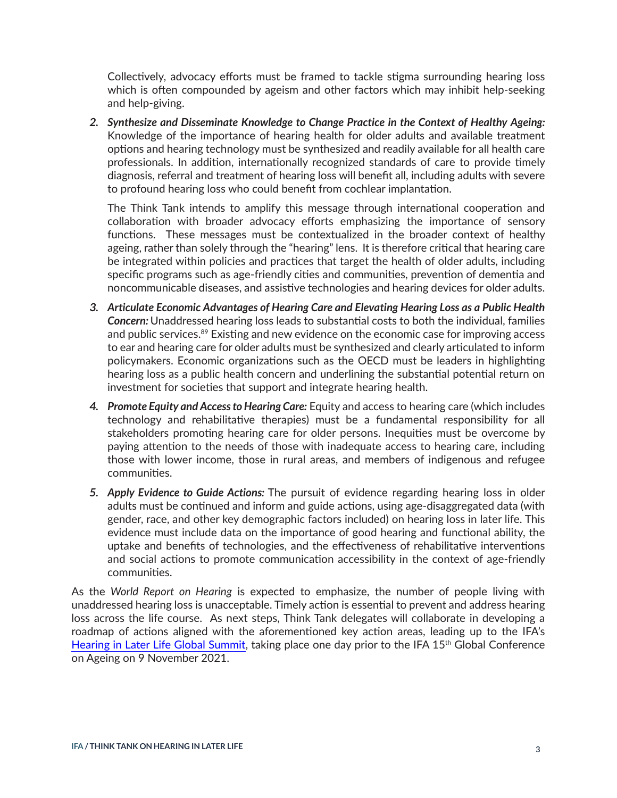<span id="page-2-0"></span>Collectively, advocacy efforts must be framed to tackle stigma surrounding hearing loss which is often compounded by ageism and other factors which may inhibit help-seeking and help-giving.

*2. Synthesize and Disseminate Knowledge to Change Practice in the Context of Healthy Ageing:* Knowledge of the importance of hearing health for older adults and available treatment options and hearing technology must be synthesized and readily available for all health care professionals. In addition, internationally recognized standards of care to provide timely diagnosis, referral and treatment of hearing loss will benefit all, including adults with severe to profound hearing loss who could benefit from cochlear implantation.

The Think Tank intends to amplify this message through international cooperation and collaboration with broader advocacy efforts emphasizing the importance of sensory functions. These messages must be contextualized in the broader context of healthy ageing, rather than solely through the "hearing" lens. It is therefore critical that hearing care be integrated within policies and practices that target the health of older adults, including specific programs such as age-friendly cities and communities, prevention of dementia and noncommunicable diseases, and assistive technologies and hearing devices for older adults.

- *3. Articulate Economic Advantages of Hearing Care and Elevating Hearing Loss as a Public Health Concern:* Unaddressed hearing loss leads to substantial costs to both the individual, families and public services.<sup>[8](#page-5-0)9</sup> Existing and new evidence on the economic case for improving access to ear and hearing care for older adults must be synthesized and clearly articulated to inform policymakers. Economic organizations such as the OECD must be leaders in highlighting hearing loss as a public health concern and underlining the substantial potential return on investment for societies that support and integrate hearing health.
- *4. Promote Equity and Access to Hearing Care:* Equity and access to hearing care (which includes technology and rehabilitative therapies) must be a fundamental responsibility for all stakeholders promoting hearing care for older persons. Inequities must be overcome by paying attention to the needs of those with inadequate access to hearing care, including those with lower income, those in rural areas, and members of indigenous and refugee communities.
- *5. Apply Evidence to Guide Actions:* The pursuit of evidence regarding hearing loss in older adults must be continued and inform and guide actions, using age-disaggregated data (with gender, race, and other key demographic factors included) on hearing loss in later life. This evidence must include data on the importance of good hearing and functional ability, the uptake and benefits of technologies, and the effectiveness of rehabilitative interventions and social actions to promote communication accessibility in the context of age-friendly communities.

As the *World Report on Hearing* is expected to emphasize, the number of people living with unaddressed hearing loss is unacceptable. Timely action is essential to prevent and address hearing loss across the life course. As next steps, Think Tank delegates will collaborate in developing a roadmap of actions aligned with the aforementioned key action areas, leading up to the IFA's [Hearing in Later Life Global Summit](https://www.ifa2021.ngo/hearing-in-later-life-summit/), taking place one day prior to the IFA 15<sup>th</sup> Global Conference on Ageing on 9 November 2021.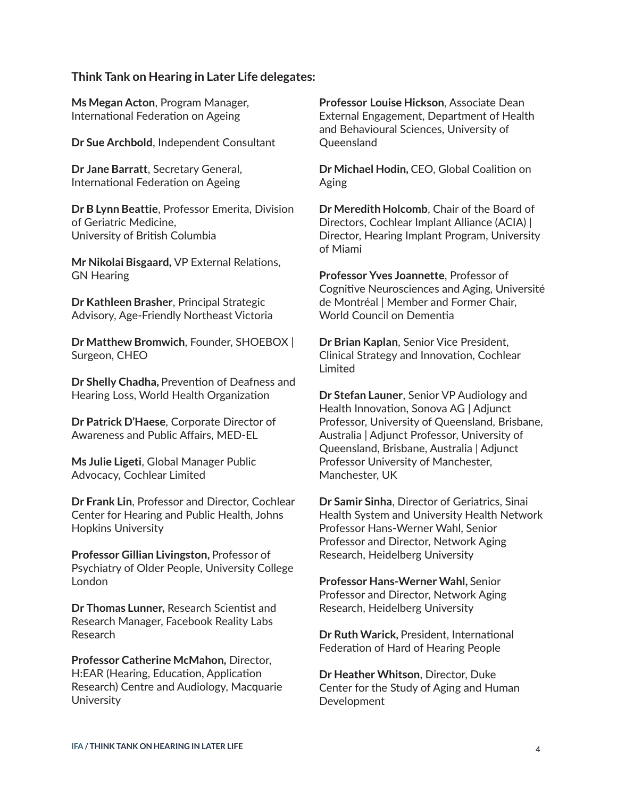#### **Think Tank on Hearing in Later Life delegates:**

**Ms Megan Acton**, Program Manager, International Federation on Ageing

**Dr Sue Archbold**, Independent Consultant

**Dr Jane Barratt**, Secretary General, International Federation on Ageing

**Dr B Lynn Beattie**, Professor Emerita, Division of Geriatric Medicine, University of British Columbia

**Mr Nikolai Bisgaard,** VP External Relations, GN Hearing

**Dr Kathleen Brasher**, Principal Strategic Advisory, Age-Friendly Northeast Victoria

**Dr Matthew Bromwich**, Founder, SHOEBOX | Surgeon, CHEO

**Dr Shelly Chadha,** Prevention of Deafness and Hearing Loss, World Health Organization

**Dr Patrick D'Haese**, Corporate Director of Awareness and Public Affairs, MED-EL

**Ms Julie Ligeti**, Global Manager Public Advocacy, Cochlear Limited

**Dr Frank Lin**, Professor and Director, Cochlear Center for Hearing and Public Health, Johns Hopkins University

**Professor Gillian Livingston,** Professor of Psychiatry of Older People, University College London

**Dr Thomas Lunner,** Research Scientist and Research Manager, Facebook Reality Labs Research

**Professor Catherine McMahon,** Director, H:EAR (Hearing, Education, Application Research) Centre and Audiology, Macquarie **University** 

**Professor Louise Hickson**, Associate Dean External Engagement, Department of Health and Behavioural Sciences, University of Queensland

**Dr Michael Hodin,** CEO, Global Coalition on Aging

**Dr Meredith Holcomb**, Chair of the Board of Directors, Cochlear Implant Alliance (ACIA) | Director, Hearing Implant Program, University of Miami

**Professor Yves Joannette**, Professor of Cognitive Neurosciences and Aging, Université de Montréal | Member and Former Chair, World Council on Dementia

**Dr Brian Kaplan**, Senior Vice President, Clinical Strategy and Innovation, Cochlear Limited

**Dr Stefan Launer**, Senior VP Audiology and Health Innovation, Sonova AG | Adjunct Professor, University of Queensland, Brisbane, Australia | Adjunct Professor, University of Queensland, Brisbane, Australia | Adjunct Professor University of Manchester, Manchester, UK

**Dr Samir Sinha**, Director of Geriatrics, Sinai Health System and University Health Network Professor Hans-Werner Wahl, Senior Professor and Director, Network Aging Research, Heidelberg University

**Professor Hans-Werner Wahl,** Senior Professor and Director, Network Aging Research, Heidelberg University

**Dr Ruth Warick,** President, International Federation of Hard of Hearing People

**Dr Heather Whitson**, Director, Duke Center for the Study of Aging and Human Development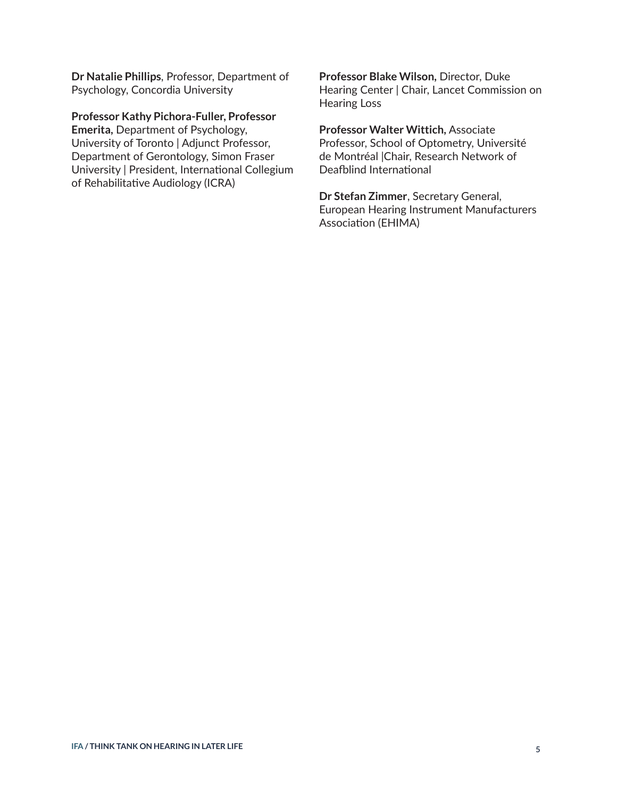**Dr Natalie Phillips**, Professor, Department of Psychology, Concordia University

**Professor Kathy Pichora-Fuller, Professor** 

**Emerita,** Department of Psychology, University of Toronto | Adjunct Professor, Department of Gerontology, Simon Fraser University | President, International Collegium of Rehabilitative Audiology (ICRA)

**Professor Blake Wilson,** Director, Duke Hearing Center | Chair, Lancet Commission on Hearing Loss

**Professor Walter Wittich,** Associate Professor, School of Optometry, Université de Montréal |Chair, Research Network of Deafblind International

**Dr Stefan Zimmer**, Secretary General, European Hearing Instrument Manufacturers Association (EHIMA)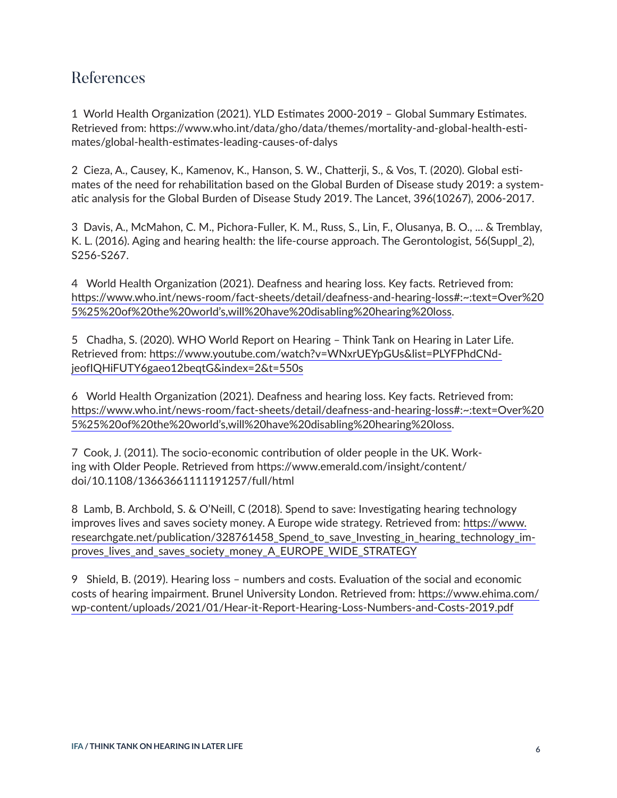### <span id="page-5-0"></span>References

[1](#page-1-0) World Health Organization (2021). YLD Estimates 2000-2019 – Global Summary Estimates. Retrieved from: https://www.who.int/data/gho/data/themes/mortality-and-global-health-estimates/global-health-estimates-leading-causes-of-dalys

[2](#page-1-0) Cieza, A., Causey, K., Kamenov, K., Hanson, S. W., Chatterji, S., & Vos, T. (2020). Global estimates of the need for rehabilitation based on the Global Burden of Disease study 2019: a systematic analysis for the Global Burden of Disease Study 2019. The Lancet, 396(10267), 2006-2017.

[3](#page-1-0) Davis, A., McMahon, C. M., Pichora-Fuller, K. M., Russ, S., Lin, F., Olusanya, B. O., ... & Tremblay, K. L. (2016). Aging and hearing health: the life-course approach. The Gerontologist, 56(Suppl\_2), S256-S267.

[4](#page-1-0) World Health Organization (2021). Deafness and hearing loss. Key facts. Retrieved from: https://www.who.int/news-room/fact-sheets/detail/deafness-and-hearing-loss#:~:text=Over%20 5%25%20of%20the%20world's,will%20have%20disabling%20hearing%20loss.

[5](#page-1-0) Chadha, S. (2020). WHO World Report on Hearing – Think Tank on Hearing in Later Life. Retrieved from: [https://www.youtube.com/watch?v=WNxrUEYpGUs&list=PLYFPhdCNd](https://www.youtube.com/watch?v=WNxrUEYpGUs&list=PLYFPhdCNdjeofIQHiFUTY6gaeo12beqtG&index=2&t=550s)[jeofIQHiFUTY6gaeo12beqtG&index=2&t=550s](https://www.youtube.com/watch?v=WNxrUEYpGUs&list=PLYFPhdCNdjeofIQHiFUTY6gaeo12beqtG&index=2&t=550s)

[6](#page-1-0) World Health Organization (2021). Deafness and hearing loss. Key facts. Retrieved from: https://www.who.int/news-room/fact-sheets/detail/deafness-and-hearing-loss#:~:text=Over%20 5%25%20of%20the%20world's,will%20have%20disabling%20hearing%20loss.

[7](#page-1-0) Cook, J. (2011). The socio‐economic contribution of older people in the UK. Working with Older People. Retrieved from https://www.emerald.com/insight/content/ doi/10.1108/13663661111191257/full/html

[8](#page-2-0) Lamb, B. Archbold, S. & O'Neill, C (2018). Spend to save: Investigating hearing technology improves lives and saves society money. A Europe wide strategy. Retrieved from: [https://www.](https://www.researchgate.net/publication/328761458_Spend_to_save_Investing_in_hearing_technology_improves_lives_and_saves_society_money_A_EUROPE_WIDE_STRATEGY) [researchgate.net/publication/328761458\\_Spend\\_to\\_save\\_Investing\\_in\\_hearing\\_technology\\_im](https://www.researchgate.net/publication/328761458_Spend_to_save_Investing_in_hearing_technology_improves_lives_and_saves_society_money_A_EUROPE_WIDE_STRATEGY)[proves\\_lives\\_and\\_saves\\_society\\_money\\_A\\_EUROPE\\_WIDE\\_STRATEGY](https://www.researchgate.net/publication/328761458_Spend_to_save_Investing_in_hearing_technology_improves_lives_and_saves_society_money_A_EUROPE_WIDE_STRATEGY)

[9](#page-2-0) Shield, B. (2019). Hearing loss – numbers and costs. Evaluation of the social and economic costs of hearing impairment. Brunel University London. Retrieved from: [https://www.ehima.com/](https://www.ehima.com/wp-content/uploads/2021/01/Hear-it-Report-Hearing-Loss-Numbers-and-Costs-2019.pdf) [wp-content/uploads/2021/01/Hear-it-Report-Hearing-Loss-Numbers-and-Costs-2019.pdf](https://www.ehima.com/wp-content/uploads/2021/01/Hear-it-Report-Hearing-Loss-Numbers-and-Costs-2019.pdf)